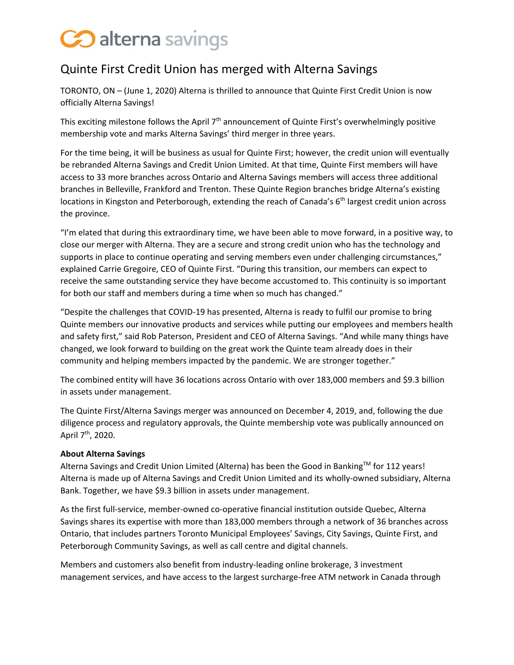## Coalterna savings

## Quinte First Credit Union has merged with Alterna Savings

TORONTO, ON – (June 1, 2020) Alterna is thrilled to announce that Quinte First Credit Union is now officially Alterna Savings!

This exciting milestone follows the April  $7<sup>th</sup>$  announcement of Quinte First's overwhelmingly positive membership vote and marks Alterna Savings' third merger in three years.

For the time being, it will be business as usual for Quinte First; however, the credit union will eventually be rebranded Alterna Savings and Credit Union Limited. At that time, Quinte First members will have access to 33 more branches across Ontario and Alterna Savings members will access three additional branches in Belleville, Frankford and Trenton. These Quinte Region branches bridge Alterna's existing locations in Kingston and Peterborough, extending the reach of Canada's 6<sup>th</sup> largest credit union across the province.

"I'm elated that during this extraordinary time, we have been able to move forward, in a positive way, to close our merger with Alterna. They are a secure and strong credit union who has the technology and supports in place to continue operating and serving members even under challenging circumstances," explained Carrie Gregoire, CEO of Quinte First. "During this transition, our members can expect to receive the same outstanding service they have become accustomed to. This continuity is so important for both our staff and members during a time when so much has changed."

"Despite the challenges that COVID-19 has presented, Alterna is ready to fulfil our promise to bring Quinte members our innovative products and services while putting our employees and members health and safety first," said Rob Paterson, President and CEO of Alterna Savings. "And while many things have changed, we look forward to building on the great work the Quinte team already does in their community and helping members impacted by the pandemic. We are stronger together."

The combined entity will have 36 locations across Ontario with over 183,000 members and \$9.3 billion in assets under management.

The Quinte First/Alterna Savings merger was announced on December 4, 2019, and, following the due diligence process and regulatory approvals, the Quinte membership vote was publically announced on April 7<sup>th</sup>, 2020.

## **About Alterna Savings**

Alterna Savings and Credit Union Limited (Alterna) has been the Good in Banking™ for 112 years! Alterna is made up of Alterna Savings and Credit Union Limited and its wholly-owned subsidiary, Alterna Bank. Together, we have \$9.3 billion in assets under management.

As the first full-service, member-owned co-operative financial institution outside Quebec, Alterna Savings shares its expertise with more than 183,000 members through a network of 36 branches across Ontario, that includes partners Toronto Municipal Employees' Savings, City Savings, Quinte First, and Peterborough Community Savings, as well as call centre and digital channels.

Members and customers also benefit from industry-leading online brokerage, 3 investment management services, and have access to the largest surcharge-free ATM network in Canada through